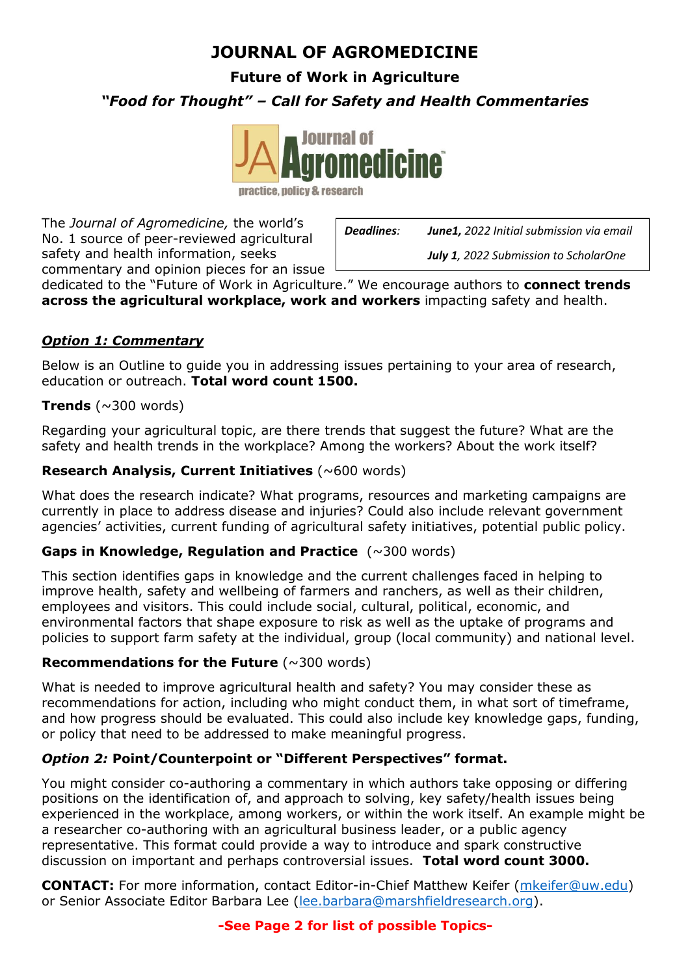# **JOURNAL OF AGROMEDICINE**

**Future of Work in Agriculture**

*"Food for Thought" – Call for Safety and Health Commentaries*



practice, policy & research

The *Journal of Agromedicine,* the world's No. 1 source of peer-reviewed agricultural safety and health information, seeks commentary and opinion pieces for an issue

*Deadlines: June1, 2022 Initial submission via email July 1, 2022 Submission to ScholarOne*

dedicated to the "Future of Work in Agriculture." We encourage authors to **connect trends across the agricultural workplace, work and workers** impacting safety and health.

### *Option 1: Commentary*

Below is an Outline to guide you in addressing issues pertaining to your area of research, education or outreach. **Total word count 1500.**

#### **Trends** ( $\sim$ 300 words)

Regarding your agricultural topic, are there trends that suggest the future? What are the safety and health trends in the workplace? Among the workers? About the work itself?

#### **Research Analysis, Current Initiatives** (~600 words)

What does the research indicate? What programs, resources and marketing campaigns are currently in place to address disease and injuries? Could also include relevant government agencies' activities, current funding of agricultural safety initiatives, potential public policy.

#### **Gaps in Knowledge, Regulation and Practice** (~300 words)

This section identifies gaps in knowledge and the current challenges faced in helping to improve health, safety and wellbeing of farmers and ranchers, as well as their children, employees and visitors. This could include social, cultural, political, economic, and environmental factors that shape exposure to risk as well as the uptake of programs and policies to support farm safety at the individual, group (local community) and national level.

#### **Recommendations for the Future (~300 words)**

What is needed to improve agricultural health and safety? You may consider these as recommendations for action, including who might conduct them, in what sort of timeframe, and how progress should be evaluated. This could also include key knowledge gaps, funding, or policy that need to be addressed to make meaningful progress.

#### *Option 2:* **Point/Counterpoint or "Different Perspectives" format.**

You might consider co-authoring a commentary in which authors take opposing or differing positions on the identification of, and approach to solving, key safety/health issues being experienced in the workplace, among workers, or within the work itself. An example might be a researcher co-authoring with an agricultural business leader, or a public agency representative. This format could provide a way to introduce and spark constructive discussion on important and perhaps controversial issues. **Total word count 3000.**

**CONTACT:** For more information, contact Editor-in-Chief Matthew Keifer [\(mkeifer@uw.edu\)](mailto:mkeifer@uw.edu) or Senior Associate Editor Barbara Lee [\(lee.barbara@marshfieldresearch.org\)](mailto:lee.barbara@marshfieldresearch.org).

#### **-See Page 2 for list of possible Topics-**